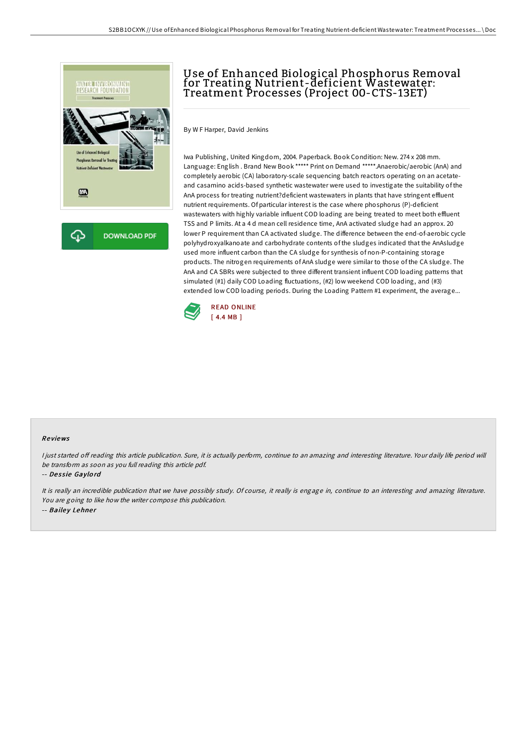

# Use of Enhanced Biological Phosphorus Removal for Treating Nutrient-deficient Wastewater: Treatment Processes (Project 00-CTS-13ET)

By W F Harper, David Jenkins

Iwa Publishing, United Kingdom, 2004. Paperback. Book Condition: New. 274 x 208 mm. Language: English . Brand New Book \*\*\*\*\* Print on Demand \*\*\*\*\*.Anaerobic/aerobic (AnA) and completely aerobic (CA) laboratory-scale sequencing batch reactors operating on an acetateand casamino acids-based synthetic wastewater were used to investigate the suitability of the AnA process for treating nutrient?deficient wastewaters in plants that have stringent effluent nutrient requirements. Of particular interest is the case where phosphorus (P)-deficient wastewaters with highly variable influent COD loading are being treated to meet both effluent TSS and P limits. At a 4 d mean cell residence time, AnA activated sludge had an approx. 20 lower P requirement than CA activated sludge. The difference between the end-of-aerobic cycle polyhydroxyalkanoate and carbohydrate contents of the sludges indicated that the AnAsludge used more influent carbon than the CA sludge for synthesis of non-P-containing storage products. The nitrogen requirements of AnA sludge were similar to those of the CA sludge. The AnA and CA SBRs were subjected to three different transient influent COD loading patterns that simulated (#1) daily COD Loading fluctuations, (#2) low weekend COD loading, and (#3) extended low COD loading periods. During the Loading Pattern #1 experiment, the average...



### Re views

I just started off reading this article publication. Sure, it is actually perform, continue to an amazing and interesting literature. Your daily life period will be transform as soon as you full reading this article pdf.

#### -- Dessie Gaylord

It is really an incredible publication that we have possibly study. Of course, it really is engage in, continue to an interesting and amazing literature. You are going to like how the writer compose this publication. -- Bailey Lehner